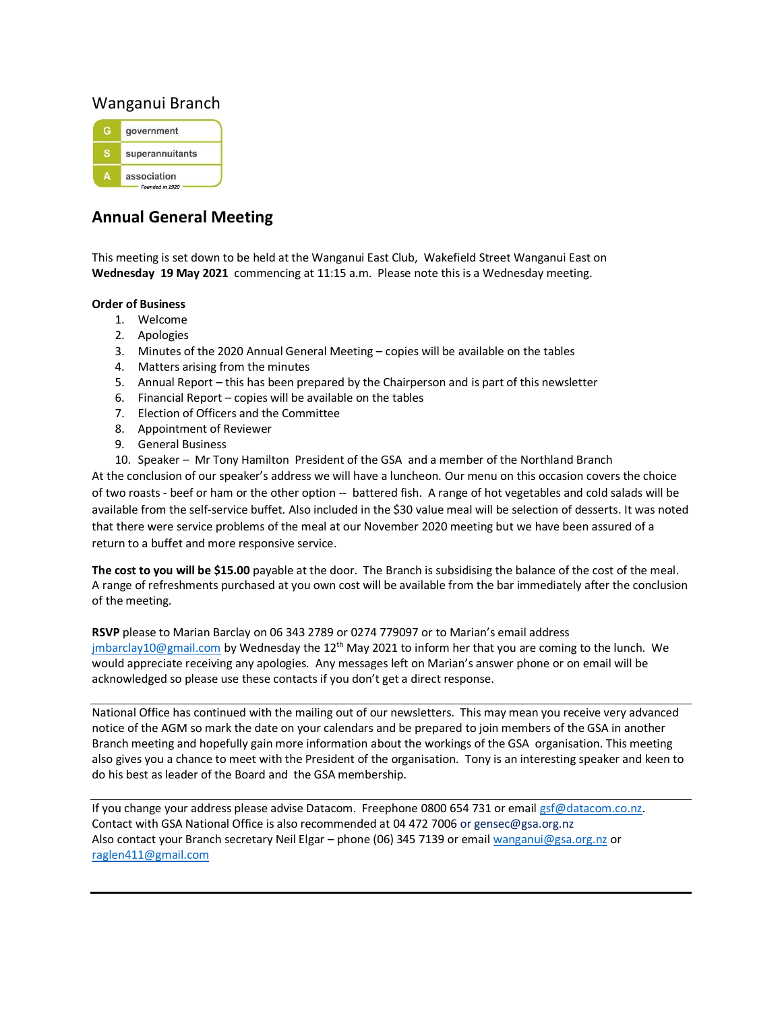## Wanganui Branch



# **Annual General Meeting**

This meeting is set down to be held at the Wanganui East Club, Wakefield Street Wanganui East on **Wednesday 19 May 2021** commencing at 11:15 a.m. Please note this is a Wednesday meeting.

#### **Order of Business**

- 1. Welcome
- 2. Apologies
- 3. Minutes of the 2020 Annual General Meeting copies will be available on the tables
- 4. Matters arising from the minutes
- 5. Annual Report this has been prepared by the Chairperson and is part of this newsletter
- 6. Financial Report copies will be available on the tables
- 7. Election of Officers and the Committee
- 8. Appointment of Reviewer
- 9. General Business
- 10. Speaker Mr Tony Hamilton President of the GSA and a member of the Northland Branch

At the conclusion of our speaker's address we will have a luncheon. Our menu on this occasion covers the choice of two roasts - beef or ham or the other option -- battered fish. A range of hot vegetables and cold salads will be available from the self-service buffet. Also included in the \$30 value meal will be selection of desserts. It was noted that there were service problems of the meal at our November 2020 meeting but we have been assured of a return to a buffet and more responsive service.

**The cost to you will be \$15.00** payable at the door. The Branch is subsidising the balance of the cost of the meal. A range of refreshments purchased at you own cost will be available from the bar immediately after the conclusion of the meeting.

**RSVP** please to Marian Barclay on 06 343 2789 or 0274 779097 or to Marian's email address [jmbarclay10@gmail.com](mailto:jmbarclay10@gmail.com) by Wednesday the 12<sup>th</sup> May 2021 to inform her that you are coming to the lunch. We would appreciate receiving any apologies. Any messages left on Marian's answer phone or on email will be acknowledged so please use these contacts if you don't get a direct response.

National Office has continued with the mailing out of our newsletters. This may mean you receive very advanced notice of the AGM so mark the date on your calendars and be prepared to join members of the GSA in another Branch meeting and hopefully gain more information about the workings of the GSA organisation. This meeting also gives you a chance to meet with the President of the organisation. Tony is an interesting speaker and keen to do his best as leader of the Board and the GSA membership.

If you change your address please advise Datacom. Freephone 0800 654 731 or emai[l gsf@datacom.co.nz.](mailto:gsf@datacom.co.nz) Contact with GSA National Office is also recommended at 04 472 7006 or gensec@gsa.org.nz Also contact your Branch secretary Neil Elgar – phone (06) 345 7139 or email [wanganui@gsa.org.nz](mailto:wanganui@gsa.org.nz) or [raglen411@gmail.com](mailto:raglan411@gmail.com)